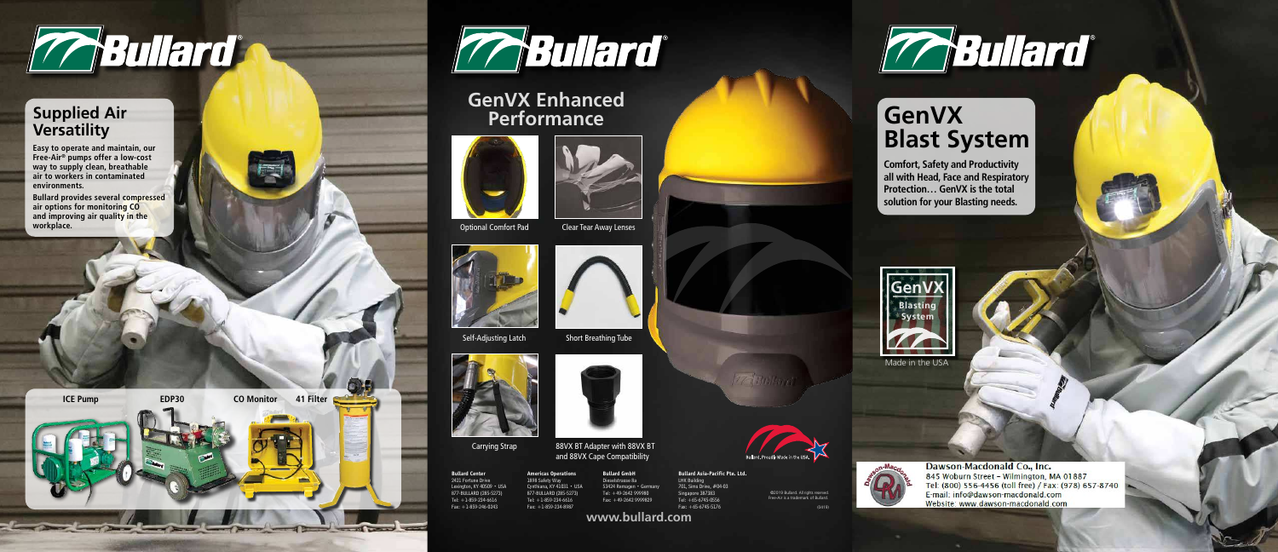**www.bullard.com**



Carrying Strap 88VX BT Adapter with 88VX BT





©2019 Bullard. All rights reserved. Free-Air is a trademark of Bullard.

(0419)



#### **GenVX Blast System**

**Comfort, Safety and Productivity all with Head, Face and Respiratory Protection… GenVX is the total solution for your Blasting needs.**

**Bullard Center** 2421 Fortune Drive Lexington, KY 40509 · USA 877-BULLARD (285-5273) Tel: +1-859-234-6616 Fax: +1-859-246-0243



**Bullard GmbH** Dieselstrasse 8a 53424 Remagen • Germany Tel: +49-2642 999980 Fax: +49-2642 9999829



701, Sims Drive, #04-03 Singapore 387383 Tel: +65-6745-0556 Fax: +65-6745-5176





#### **Supplied Air Versatility**

**Easy to operate and maintain, our Free-Air® pumps offer a low-cost way to supply clean, breathable air to workers in contaminated environments.** 

**Bullard provides several compressed air options for monitoring CO and improving air quality in the workplace.** 





#### **GenVX Enhanced Performance**





Optional Comfort Pad Clear Tear Away Lenses





Self-Adjusting Latch Short Breathing Tube









Dawson-Macdonald Co., Inc. 845 Woburn Street - Wilmington, MA 01887 Tel: (800) 556-4456 (toll free) / Fax: (978) 657-8740 E-mail: info@dawson-macdonald.com Website: www.dawson-macdonald.com